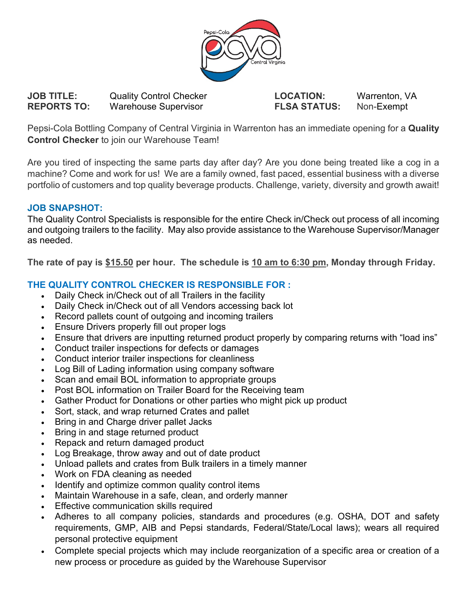

**JOB TITLE:** Quality Control Checker **LOCATION:** Warrenton, VA **REPORTS TO:** Warehouse Supervisor **FLSA STATUS:** Non-Exempt

Pepsi-Cola Bottling Company of Central Virginia in Warrenton has an immediate opening for a **Quality Control Checker** to join our Warehouse Team!

Are you tired of inspecting the same parts day after day? Are you done being treated like a cog in a machine? Come and work for us! We are a family owned, fast paced, essential business with a diverse portfolio of customers and top quality beverage products. Challenge, variety, diversity and growth await!

## **JOB SNAPSHOT:**

The Quality Control Specialists is responsible for the entire Check in/Check out process of all incoming and outgoing trailers to the facility. May also provide assistance to the Warehouse Supervisor/Manager as needed.

**The rate of pay is \$15.50 per hour. The schedule is 10 am to 6:30 pm, Monday through Friday.**

## **THE QUALITY CONTROL CHECKER IS RESPONSIBLE FOR :**

- Daily Check in/Check out of all Trailers in the facility
- Daily Check in/Check out of all Vendors accessing back lot
- Record pallets count of outgoing and incoming trailers
- Ensure Drivers properly fill out proper logs
- Ensure that drivers are inputting returned product properly by comparing returns with "load ins"
- Conduct trailer inspections for defects or damages
- Conduct interior trailer inspections for cleanliness
- Log Bill of Lading information using company software
- Scan and email BOL information to appropriate groups
- Post BOL information on Trailer Board for the Receiving team
- Gather Product for Donations or other parties who might pick up product
- Sort, stack, and wrap returned Crates and pallet
- Bring in and Charge driver pallet Jacks
- Bring in and stage returned product
- Repack and return damaged product
- Log Breakage, throw away and out of date product
- Unload pallets and crates from Bulk trailers in a timely manner
- Work on FDA cleaning as needed
- Identify and optimize common quality control items
- Maintain Warehouse in a safe, clean, and orderly manner
- Effective communication skills required
- Adheres to all company policies, standards and procedures (e.g. OSHA, DOT and safety requirements, GMP, AIB and Pepsi standards, Federal/State/Local laws); wears all required personal protective equipment
- Complete special projects which may include reorganization of a specific area or creation of a new process or procedure as guided by the Warehouse Supervisor